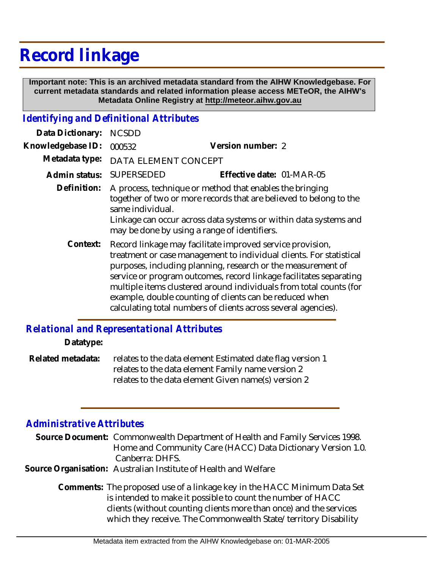# **Record linkage**

 **Important note: This is an archived metadata standard from the AIHW Knowledgebase. For current metadata standards and related information please access METeOR, the AIHW's Metadata Online Registry at http://meteor.aihw.gov.au**

### *Identifying and Definitional Attributes*

| Data Dictionary:  | <b>NCSDD</b>                                                                                                                                                                                                                                                                                                                                                                                                                                                              |                           |
|-------------------|---------------------------------------------------------------------------------------------------------------------------------------------------------------------------------------------------------------------------------------------------------------------------------------------------------------------------------------------------------------------------------------------------------------------------------------------------------------------------|---------------------------|
| Knowledgebase ID: | 000532                                                                                                                                                                                                                                                                                                                                                                                                                                                                    | Version number: 2         |
| Metadata type:    | DATA ELEMENT CONCEPT                                                                                                                                                                                                                                                                                                                                                                                                                                                      |                           |
| Admin status:     | <b>SUPERSEDED</b>                                                                                                                                                                                                                                                                                                                                                                                                                                                         | Effective date: 01-MAR-05 |
| Definition:       | A process, technique or method that enables the bringing<br>together of two or more records that are believed to belong to the<br>same individual.<br>Linkage can occur across data systems or within data systems and<br>may be done by using a range of identifiers.                                                                                                                                                                                                    |                           |
| Context:          | Record linkage may facilitate improved service provision,<br>treatment or case management to individual clients. For statistical<br>purposes, including planning, research or the measurement of<br>service or program outcomes, record linkage facilitates separating<br>multiple items clustered around individuals from total counts (for<br>example, double counting of clients can be reduced when<br>calculating total numbers of clients across several agencies). |                           |

#### *Relational and Representational Attributes*

#### **Datatype:**

relates to the data element Estimated date flag version 1 relates to the data element Family name version 2 relates to the data element Given name(s) version 2 **Related metadata:**

## *Administrative Attributes*

| Source Document: Commonwealth Department of Health and Family Services 1998. |
|------------------------------------------------------------------------------|
| Home and Community Care (HACC) Data Dictionary Version 1.0.                  |
| Canberra: DHFS.                                                              |
| Source Organisation: Australian Institute of Health and Welfare              |

Comments: The proposed use of a linkage key in the HACC Minimum Data Set is intended to make it possible to count the number of HACC clients (without counting clients more than once) and the services which they receive. The Commonwealth State/territory Disability